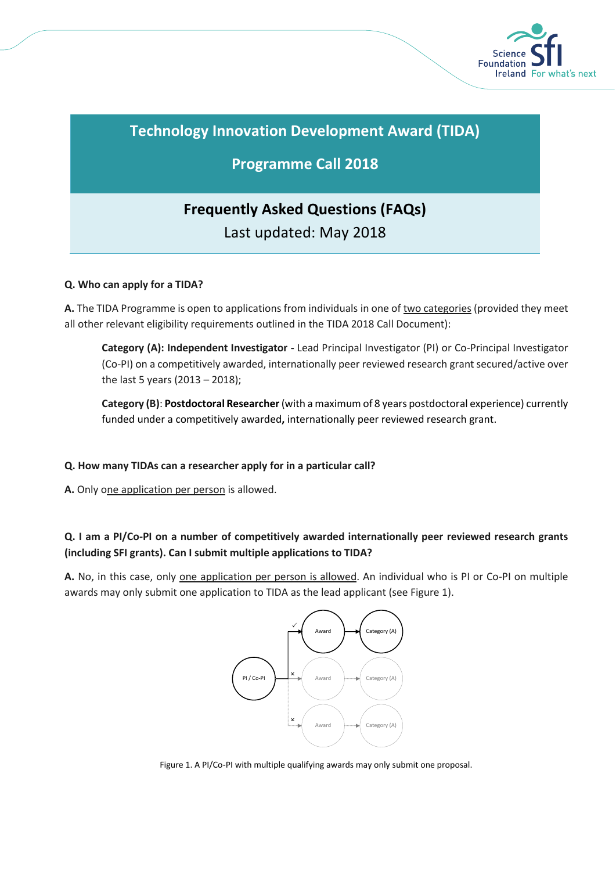

# **Technology Innovation Development Award (TIDA)**

## **Programme Call 2018**

# **Frequently Asked Questions (FAQs)** Last updated: May 2018

## **Q. Who can apply for a TIDA?**

**A.** The TIDA Programme is open to applications from individuals in one of two categories (provided they meet all other relevant eligibility requirements outlined in the TIDA 2018 Call Document):

**Category (A): Independent Investigator -** Lead Principal Investigator (PI) or Co-Principal Investigator (Co-PI) on a competitively awarded, internationally peer reviewed research grant secured/active over the last 5 years (2013 – 2018);

**Category (B)**: **Postdoctoral Researcher**(with a maximum of 8 years postdoctoral experience) currently funded under a competitively awarded**,** internationally peer reviewed research grant.

### **Q. How many TIDAs can a researcher apply for in a particular call?**

**A.** Only one application per person is allowed.

## **Q. I am a PI/Co-PI on a number of competitively awarded internationally peer reviewed research grants (including SFI grants). Can I submit multiple applications to TIDA?**

**A.** No, in this case, only one application per person is allowed. An individual who is PI or Co-PI on multiple awards may only submit one application to TIDA as the lead applicant (see Figure 1).



Figure 1. A PI/Co-PI with multiple qualifying awards may only submit one proposal.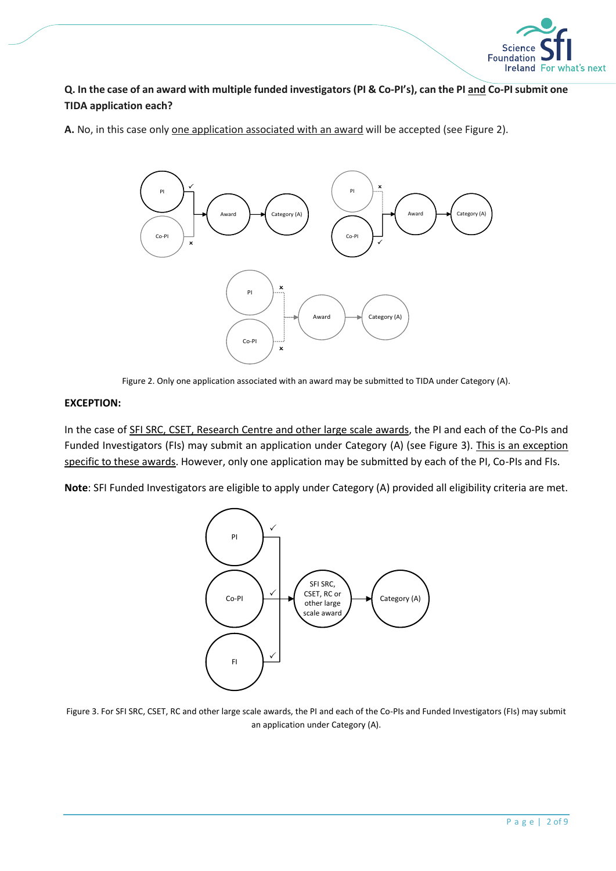

## **Q. In the case of an award with multiple funded investigators (PI & Co-PI's), can the PI and Co-PI submit one TIDA application each?**

**A.** No, in this case only one application associated with an award will be accepted (see Figure 2).



Figure 2. Only one application associated with an award may be submitted to TIDA under Category (A).

#### **EXCEPTION:**

In the case of SFI SRC, CSET, Research Centre and other large scale awards, the PI and each of the Co-PIs and Funded Investigators (FIs) may submit an application under Category (A) (see Figure 3). This is an exception specific to these awards. However, only one application may be submitted by each of the PI, Co-PIs and FIs.

**Note**: SFI Funded Investigators are eligible to apply under Category (A) provided all eligibility criteria are met.



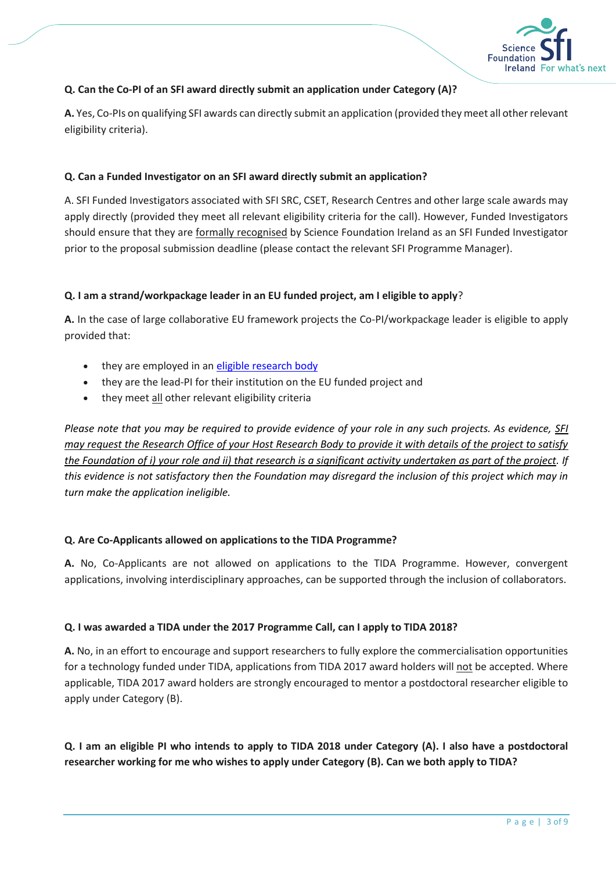

#### **Q. Can the Co-PI of an SFI award directly submit an application under Category (A)?**

**A.** Yes, Co-PIs on qualifying SFI awards can directly submit an application (provided they meet all other relevant eligibility criteria).

#### **Q. Can a Funded Investigator on an SFI award directly submit an application?**

A. SFI Funded Investigators associated with SFI SRC, CSET, Research Centres and other large scale awards may apply directly (provided they meet all relevant eligibility criteria for the call). However, Funded Investigators should ensure that they are formally recognised by Science Foundation Ireland as an SFI Funded Investigator prior to the proposal submission deadline (please contact the relevant SFI Programme Manager).

#### **Q. I am a strand/workpackage leader in an EU funded project, am I eligible to apply**?

**A.** In the case of large collaborative EU framework projects the Co-PI/workpackage leader is eligible to apply provided that:

- they are employed in an [eligible research body](http://www.sfi.ie/funding/sfi-policies-and-guidance/eligibility-related-information/)
- they are the lead-PI for their institution on the EU funded project and
- they meet all other relevant eligibility criteria

*Please note that you may be required to provide evidence of your role in any such projects. As evidence, SFI may request the Research Office of your Host Research Body to provide it with details of the project to satisfy the Foundation of i) your role and ii) that research is a significant activity undertaken as part of the project. If this evidence is not satisfactory then the Foundation may disregard the inclusion of this project which may in turn make the application ineligible.*

#### **Q. Are Co-Applicants allowed on applications to the TIDA Programme?**

**A.** No, Co-Applicants are not allowed on applications to the TIDA Programme. However, convergent applications, involving interdisciplinary approaches, can be supported through the inclusion of collaborators.

#### **Q. I was awarded a TIDA under the 2017 Programme Call, can I apply to TIDA 2018?**

**A.** No, in an effort to encourage and support researchers to fully explore the commercialisation opportunities for a technology funded under TIDA, applications from TIDA 2017 award holders will not be accepted. Where applicable, TIDA 2017 award holders are strongly encouraged to mentor a postdoctoral researcher eligible to apply under Category (B).

**Q. I am an eligible PI who intends to apply to TIDA 2018 under Category (A). I also have a postdoctoral researcher working for me who wishes to apply under Category (B). Can we both apply to TIDA?**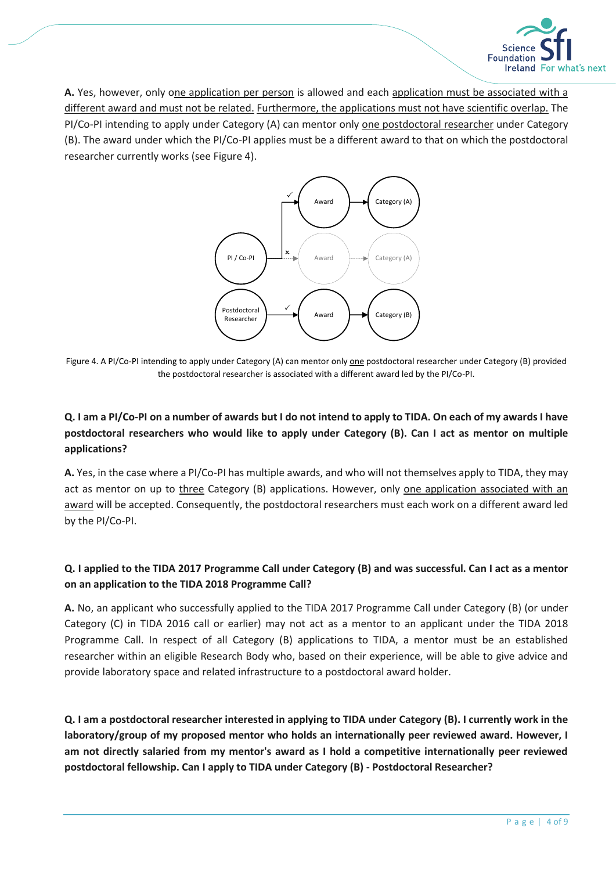

**A.** Yes, however, only one application per person is allowed and each application must be associated with a different award and must not be related. Furthermore, the applications must not have scientific overlap. The PI/Co-PI intending to apply under Category (A) can mentor only one postdoctoral researcher under Category (B). The award under which the PI/Co-PI applies must be a different award to that on which the postdoctoral researcher currently works (see Figure 4).



Figure 4. A PI/Co-PI intending to apply under Category (A) can mentor only one postdoctoral researcher under Category (B) provided the postdoctoral researcher is associated with a different award led by the PI/Co-PI.

## **Q. I am a PI/Co-PI on a number of awards but I do not intend to apply to TIDA. On each of my awards I have postdoctoral researchers who would like to apply under Category (B). Can I act as mentor on multiple applications?**

**A.** Yes, in the case where a PI/Co-PI has multiple awards, and who will not themselves apply to TIDA, they may act as mentor on up to three Category (B) applications. However, only one application associated with an award will be accepted. Consequently, the postdoctoral researchers must each work on a different award led by the PI/Co-PI.

## **Q. I applied to the TIDA 2017 Programme Call under Category (B) and was successful. Can I act as a mentor on an application to the TIDA 2018 Programme Call?**

**A.** No, an applicant who successfully applied to the TIDA 2017 Programme Call under Category (B) (or under Category (C) in TIDA 2016 call or earlier) may not act as a mentor to an applicant under the TIDA 2018 Programme Call. In respect of all Category (B) applications to TIDA, a mentor must be an established researcher within an eligible Research Body who, based on their experience, will be able to give advice and provide laboratory space and related infrastructure to a postdoctoral award holder.

**Q. I am a postdoctoral researcher interested in applying to TIDA under Category (B). I currently work in the laboratory/group of my proposed mentor who holds an internationally peer reviewed award. However, I am not directly salaried from my mentor's award as I hold a competitive internationally peer reviewed postdoctoral fellowship. Can I apply to TIDA under Category (B) - Postdoctoral Researcher?**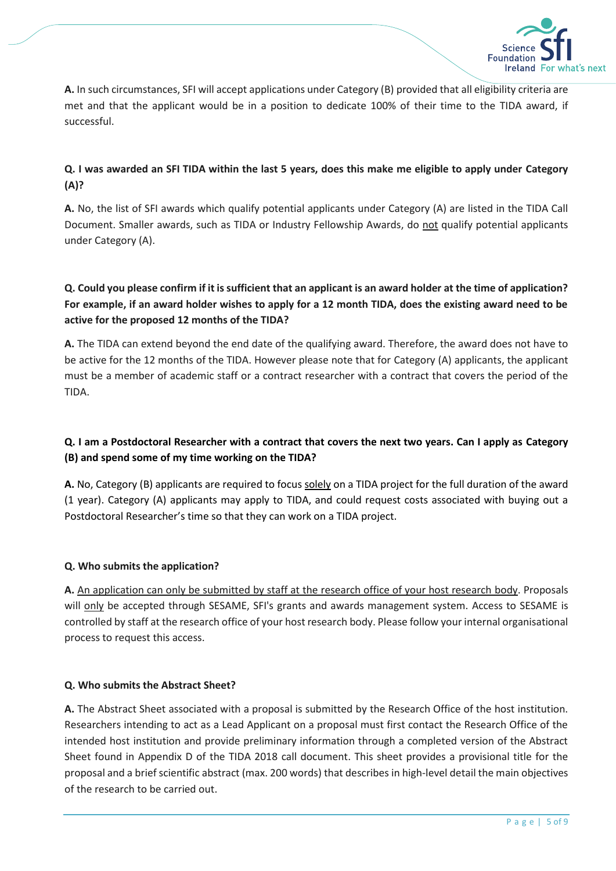

**A.** In such circumstances, SFI will accept applications under Category (B) provided that all eligibility criteria are met and that the applicant would be in a position to dedicate 100% of their time to the TIDA award, if successful.

## **Q. I was awarded an SFI TIDA within the last 5 years, does this make me eligible to apply under Category (A)?**

**A.** No, the list of SFI awards which qualify potential applicants under Category (A) are listed in the TIDA Call Document. Smaller awards, such as TIDA or Industry Fellowship Awards, do not qualify potential applicants under Category (A).

## **Q. Could you please confirm if it is sufficient that an applicant is an award holder at the time of application? For example, if an award holder wishes to apply for a 12 month TIDA, does the existing award need to be active for the proposed 12 months of the TIDA?**

**A.** The TIDA can extend beyond the end date of the qualifying award. Therefore, the award does not have to be active for the 12 months of the TIDA. However please note that for Category (A) applicants, the applicant must be a member of academic staff or a contract researcher with a contract that covers the period of the TIDA.

## **Q. I am a Postdoctoral Researcher with a contract that covers the next two years. Can I apply as Category (B) and spend some of my time working on the TIDA?**

**A.** No, Category (B) applicants are required to focus solely on a TIDA project for the full duration of the award (1 year). Category (A) applicants may apply to TIDA, and could request costs associated with buying out a Postdoctoral Researcher's time so that they can work on a TIDA project.

#### **Q. Who submits the application?**

**A.** An application can only be submitted by staff at the research office of your host research body. Proposals will only be accepted through SESAME, SFI's grants and awards management system. Access to SESAME is controlled by staff at the research office of your host research body. Please follow your internal organisational process to request this access.

#### **Q. Who submits the Abstract Sheet?**

**A.** The Abstract Sheet associated with a proposal is submitted by the Research Office of the host institution. Researchers intending to act as a Lead Applicant on a proposal must first contact the Research Office of the intended host institution and provide preliminary information through a completed version of the Abstract Sheet found in Appendix D of the TIDA 2018 call document. This sheet provides a provisional title for the proposal and a brief scientific abstract (max. 200 words) that describes in high-level detail the main objectives of the research to be carried out.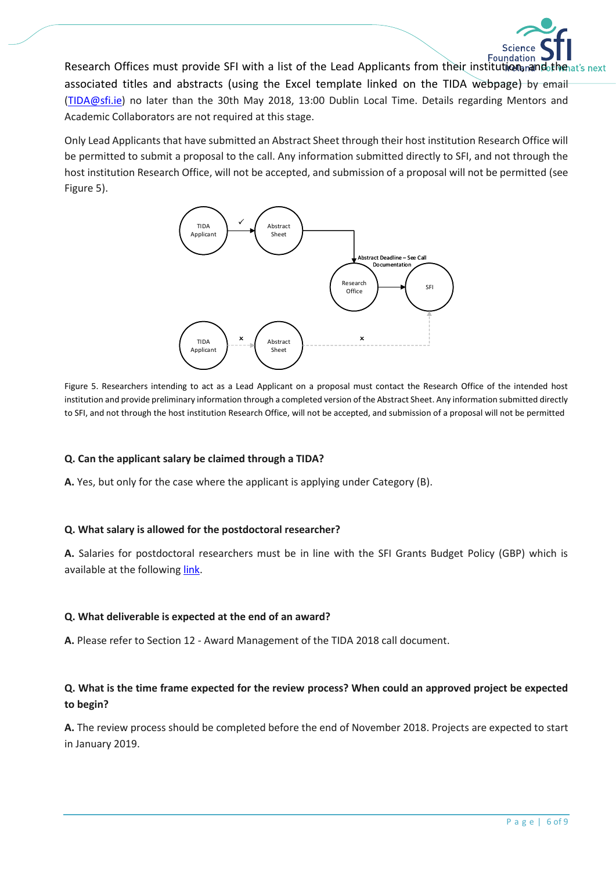

Research Offices must provide SFI with a list of the Lead Applicants from their institution Foundation Putchenat's next associated titles and abstracts (using the Excel template linked on the TIDA webpage) by email [\(TIDA@sfi.ie\)](mailto:TIDA@sfi.ie) no later than the 30th May 2018, 13:00 Dublin Local Time. Details regarding Mentors and Academic Collaborators are not required at this stage.

Only Lead Applicants that have submitted an Abstract Sheet through their host institution Research Office will be permitted to submit a proposal to the call. Any information submitted directly to SFI, and not through the host institution Research Office, will not be accepted, and submission of a proposal will not be permitted (see Figure 5).



Figure 5. Researchers intending to act as a Lead Applicant on a proposal must contact the Research Office of the intended host institution and provide preliminary information through a completed version of the Abstract Sheet. Any information submitted directly to SFI, and not through the host institution Research Office, will not be accepted, and submission of a proposal will not be permitted

#### **Q. Can the applicant salary be claimed through a TIDA?**

**A.** Yes, but only for the case where the applicant is applying under Category (B).

#### **Q. What salary is allowed for the postdoctoral researcher?**

**A.** Salaries for postdoctoral researchers must be in line with the SFI Grants Budget Policy (GBP) which is available at the following [link.](http://www.sfi.ie/funding/sfi-policies-and-guidance/budget-finance-related-policies/SFI-Grant-Budget-Policy_2016_July-url-updates.pdf)

#### **Q. What deliverable is expected at the end of an award?**

**A.** Please refer to Section 12 - Award Management of the TIDA 2018 call document.

## **Q. What is the time frame expected for the review process? When could an approved project be expected to begin?**

**A.** The review process should be completed before the end of November 2018. Projects are expected to start in January 2019.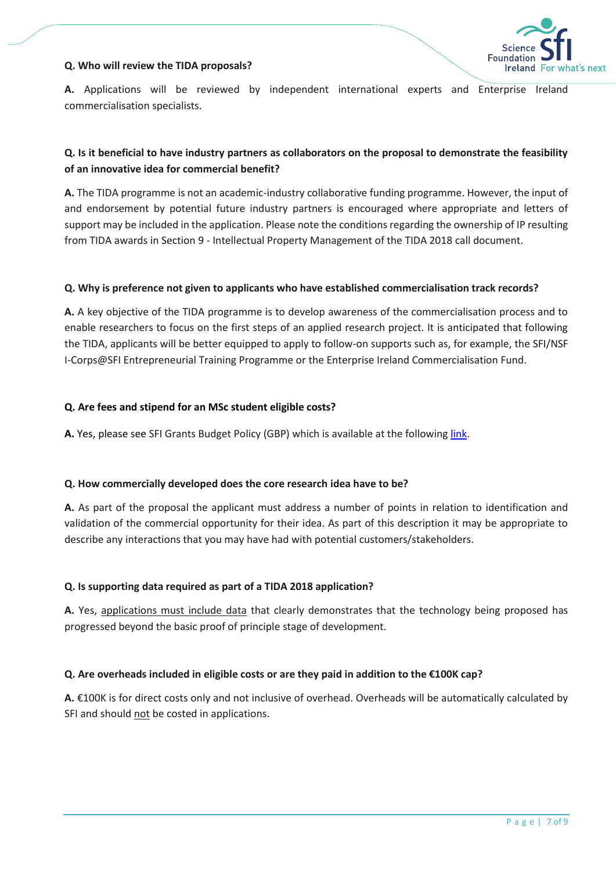#### **Q. Who will review the TIDA proposals?**



**A.** Applications will be reviewed by independent international experts and Enterprise Ireland commercialisation specialists.

## **Q. Is it beneficial to have industry partners as collaborators on the proposal to demonstrate the feasibility of an innovative idea for commercial benefit?**

**A.** The TIDA programme is not an academic-industry collaborative funding programme. However, the input of and endorsement by potential future industry partners is encouraged where appropriate and letters of support may be included in the application. Please note the conditions regarding the ownership of IP resulting from TIDA awards in Section 9 - Intellectual Property Management of the TIDA 2018 call document.

#### **Q. Why is preference not given to applicants who have established commercialisation track records?**

**A.** A key objective of the TIDA programme is to develop awareness of the commercialisation process and to enable researchers to focus on the first steps of an applied research project. It is anticipated that following the TIDA, applicants will be better equipped to apply to follow-on supports such as, for example, the SFI/NSF I-Corps@SFI Entrepreneurial Training Programme or the Enterprise Ireland Commercialisation Fund.

#### **Q. Are fees and stipend for an MSc student eligible costs?**

**A.** Yes, please see SFI Grants Budget Policy (GBP) which is available at the followin[g link.](http://www.sfi.ie/funding/sfi-policies-and-guidance/budget-finance-related-policies/SFI-Grant-Budget-Policy_2016_July-url-updates.pdf)

#### **Q. How commercially developed does the core research idea have to be?**

**A.** As part of the proposal the applicant must address a number of points in relation to identification and validation of the commercial opportunity for their idea. As part of this description it may be appropriate to describe any interactions that you may have had with potential customers/stakeholders.

#### **Q. Is supporting data required as part of a TIDA 2018 application?**

**A.** Yes, applications must include data that clearly demonstrates that the technology being proposed has progressed beyond the basic proof of principle stage of development.

#### **Q. Are overheads included in eligible costs or are they paid in addition to the €100K cap?**

**A.** €100K is for direct costs only and not inclusive of overhead. Overheads will be automatically calculated by SFI and should not be costed in applications.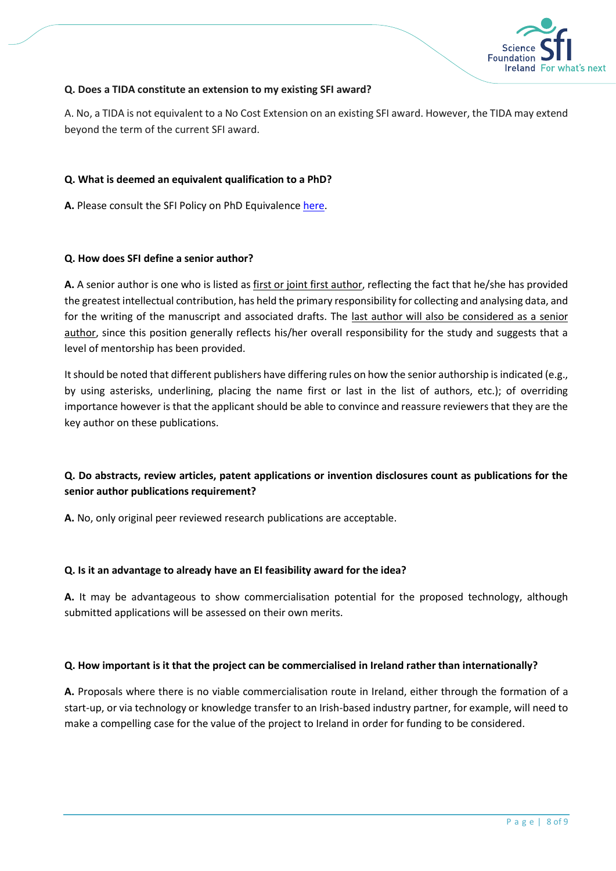

#### **Q. Does a TIDA constitute an extension to my existing SFI award?**

A. No, a TIDA is not equivalent to a No Cost Extension on an existing SFI award. However, the TIDA may extend beyond the term of the current SFI award.

#### **Q. What is deemed an equivalent qualification to a PhD?**

**A.** Please consult the SFI Policy on PhD Equivalence [here.](http://www.sfi.ie/funding/sfi-policies-and-guidance/eligibility-related-information/)

#### **Q. How does SFI define a senior author?**

**A.** A senior author is one who is listed as first or joint first author, reflecting the fact that he/she has provided the greatest intellectual contribution, has held the primary responsibility for collecting and analysing data, and for the writing of the manuscript and associated drafts. The last author will also be considered as a senior author, since this position generally reflects his/her overall responsibility for the study and suggests that a level of mentorship has been provided.

It should be noted that different publishers have differing rules on how the senior authorship is indicated (e.g., by using asterisks, underlining, placing the name first or last in the list of authors, etc.); of overriding importance however is that the applicant should be able to convince and reassure reviewers that they are the key author on these publications.

## **Q. Do abstracts, review articles, patent applications or invention disclosures count as publications for the senior author publications requirement?**

**A.** No, only original peer reviewed research publications are acceptable.

#### **Q. Is it an advantage to already have an EI feasibility award for the idea?**

**A.** It may be advantageous to show commercialisation potential for the proposed technology, although submitted applications will be assessed on their own merits.

#### **Q. How important is it that the project can be commercialised in Ireland rather than internationally?**

**A.** Proposals where there is no viable commercialisation route in Ireland, either through the formation of a start-up, or via technology or knowledge transfer to an Irish-based industry partner, for example, will need to make a compelling case for the value of the project to Ireland in order for funding to be considered.